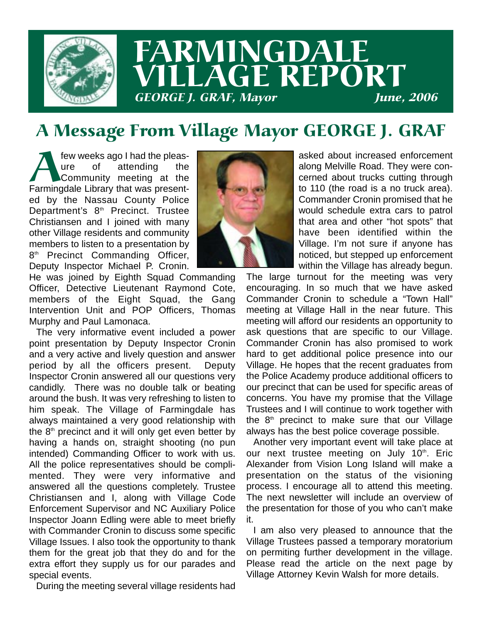

## FARMINGDALE LLAGE REPORT **GEORGE J. GRAF, Mayor**

### A Message From Village Mayor GEORGE J. GRAF

Few weeks ago I had the pleas-<br>
Live of attending the<br>
Farmingdale Library that was presenture of attending the Community meeting at the ed by the Nassau County Police Department's  $8<sup>th</sup>$  Precinct. Trustee Christiansen and I joined with many other Village residents and community members to listen to a presentation by 8<sup>th</sup> Precinct Commanding Officer, Deputy Inspector Michael P. Cronin.



He was joined by Eighth Squad Commanding Officer, Detective Lieutenant Raymond Cote, members of the Eight Squad, the Gang Intervention Unit and POP Officers, Thomas Murphy and Paul Lamonaca.

The very informative event included a power point presentation by Deputy Inspector Cronin and a very active and lively question and answer period by all the officers present. Deputy Inspector Cronin answered all our questions very candidly. There was no double talk or beating around the bush. It was very refreshing to listen to him speak. The Village of Farmingdale has always maintained a very good relationship with the  $8<sup>th</sup>$  precinct and it will only get even better by having a hands on, straight shooting (no pun intended) Commanding Officer to work with us. All the police representatives should be complimented. They were very informative and answered all the questions completely. Trustee Christiansen and I, along with Village Code Enforcement Supervisor and NC Auxiliary Police Inspector Joann Edling were able to meet briefly with Commander Cronin to discuss some specific Village Issues. I also took the opportunity to thank them for the great job that they do and for the extra effort they supply us for our parades and special events.

During the meeting several village residents had

asked about increased enforcement along Melville Road. They were concerned about trucks cutting through to 110 (the road is a no truck area). Commander Cronin promised that he would schedule extra cars to patrol that area and other "hot spots" that have been identified within the Village. I'm not sure if anyone has noticed, but stepped up enforcement within the Village has already begun.

The large turnout for the meeting was very encouraging. In so much that we have asked Commander Cronin to schedule a "Town Hall" meeting at Village Hall in the near future. This meeting will afford our residents an opportunity to ask questions that are specific to our Village. Commander Cronin has also promised to work hard to get additional police presence into our Village. He hopes that the recent graduates from the Police Academy produce additional officers to our precinct that can be used for specific areas of concerns. You have my promise that the Village Trustees and I will continue to work together with the  $8<sup>th</sup>$  precinct to make sure that our Village always has the best police coverage possible.

Another very important event will take place at our next trustee meeting on July 10<sup>th</sup>. Eric Alexander from Vision Long Island will make a presentation on the status of the visioning process. I encourage all to attend this meeting. The next newsletter will include an overview of the presentation for those of you who can't make it.

I am also very pleased to announce that the Village Trustees passed a temporary moratorium on permiting further development in the village. Please read the article on the next page by Village Attorney Kevin Walsh for more details.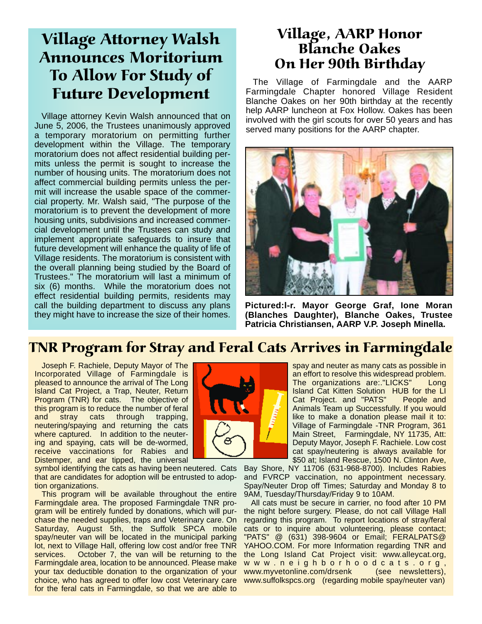#### Village Attorney Walsh Announces Moritorium To Allow For Study of Future Development

Village attorney Kevin Walsh announced that on June 5, 2006, the Trustees unanimously approved a temporary moratorium on permitting further development within the Village. The temporary moratorium does not affect residential building permits unless the permit is sought to increase the number of housing units. The moratorium does not affect commercial building permits unless the permit will increase the usable space of the commercial property. Mr. Walsh said, "The purpose of the moratorium is to prevent the development of more housing units, subdivisions and increased commercial development until the Trustees can study and implement appropriate safeguards to insure that future development will enhance the quality of life of Village residents. The moratorium is consistent with the overall planning being studied by the Board of Trustees." The moratorium will last a minimum of six (6) months. While the moratorium does not effect residential building permits, residents may call the building department to discuss any plans they might have to increase the size of their homes.

#### Village, AARP Honor Blanche Oakes On Her 90th Birthday

The Village of Farmingdale and the AARP Farmingdale Chapter honored Village Resident Blanche Oakes on her 90th birthday at the recently help AARP luncheon at Fox Hollow. Oakes has been involved with the girl scouts for over 50 years and has served many positions for the AARP chapter.



**Pictured:l-r. Mayor George Graf, Ione Moran (Blanches Daughter), Blanche Oakes, Trustee Patricia Christiansen, AARP V.P. Joseph Minella.**

#### TNR Program for Stray and Feral Cats Arrives in Farmingdale

Joseph F. Rachiele, Deputy Mayor of The Incorporated Village of Farmingdale is pleased to announce the arrival of The Long Island Cat Project, a Trap, Neuter, Return Program (TNR) for cats. The objective of this program is to reduce the number of feral<br>and stray cats through trapping, and stray cats through trapping, neutering/spaying and returning the cats where captured. In addition to the neutering and spaying, cats will be de-wormed, receive vaccinations for Rabies and Distemper, and ear tipped, the universal

symbol identifying the cats as having been neutered. Cats Bay Shore, NY 11706 (631-968-8700). Includes Rabies that are candidates for adoption will be entrusted to adoption organizations.

This program will be available throughout the entire Farmingdale area. The proposed Farmingdale TNR program will be entirely funded by donations, which will purchase the needed supplies, traps and Veterinary care. On Saturday, August 5th, the Suffolk SPCA mobile spay/neuter van will be located in the municipal parking lot, next to Village Hall, offering low cost and/or free TNR services. October 7, the van will be returning to the Farmingdale area, location to be announced. Please make your tax deductible donation to the organization of your choice, who has agreed to offer low cost Veterinary care for the feral cats in Farmingdale, so that we are able to



spay and neuter as many cats as possible in an effort to resolve this widespread problem. The organizations are:."LICKS" Long Island Cat Kitten Solution HUB for the LI Cat Project. and "PATS" People and Animals Team up Successfully. If you would like to make a donation please mail it to: Village of Farmingdale -TNR Program, 361 Main Street, Farmingdale, NY 11735, Att: Deputy Mayor, Joseph F. Rachiele. Low cost cat spay/neutering is always available for \$50 at; Island Rescue, 1500 N. Clinton Ave,

and FVRCP vaccination, no appointment necessary. Spay/Neuter Drop off Times; Saturday and Monday 8 to 9AM, Tuesday/Thursday/Friday 9 to 10AM.

All cats must be secure in carrier, no food after 10 PM the night before surgery. Please, do not call Village Hall regarding this program. To report locations of stray/feral cats or to inquire about volunteering, please contact; "PATS" @ (631) 398-9604 or Email; FERALPATS@ YAHOO.COM. For more Information regarding TNR and the Long Island Cat Project visit: www.alleycat.org, www.neighborhoodcats.org, www.myvetonline.com/drsenk (see newsletters), www.suffolkspcs.org (regarding mobile spay/neuter van)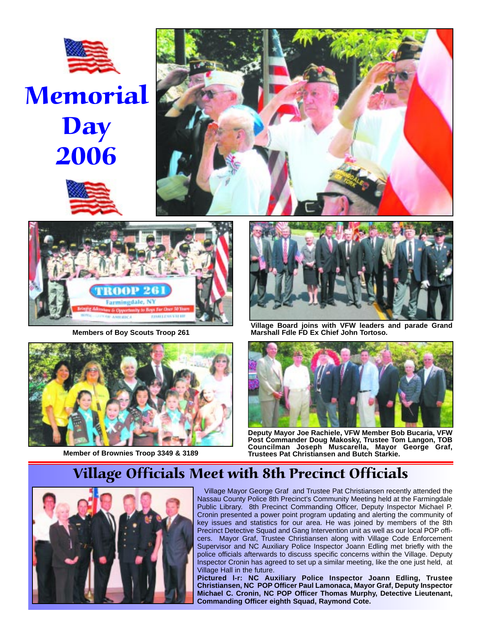

# **Memorial Day** 2006







**Members of Boy Scouts Troop 261**





**Village Board joins with VFW leaders and parade Grand Marshall Fdle FD Ex Chief John Tortoso.**



**Deputy Mayor Joe Rachiele, VFW Member Bob Bucaria, VFW Post Commander Doug Makosky, Trustee Tom Langon, TOB Councilman Joseph Muscarella, Mayor George Graf, Member of Brownies Troop 3349 & 3189 Trustees Pat Christiansen and Butch Starkie.**

#### Village Officials Meet with 8th Precinct Officials



Village Mayor George Graf and Trustee Pat Christiansen recently attended the Nassau County Police 8th Precinct's Community Meeting held at the Farmingdale Public Library. 8th Precinct Commanding Officer, Deputy Inspector Michael P. Cronin presented a power point program updating and alerting the community of key issues and statistics for our area. He was joined by members of the 8th Precinct Detective Squad and Gang Intervention unit as well as our local POP officers. Mayor Graf, Trustee Christiansen along with Village Code Enforcement Supervisor and NC Auxiliary Police Inspector Joann Edling met briefly with the police officials afterwards to discuss specific concerns within the Village. Deputy Inspector Cronin has agreed to set up a similar meeting, like the one just held, at Village Hall in the future.

**Pictured l-r: NC Auxiliary Police Inspector Joann Edling, Trustee Christiansen, NC POP Officer Paul Lamonaca, Mayor Graf, Deputy Inspector Michael C. Cronin, NC POP Officer Thomas Murphy, Detective Lieutenant, Commanding Officer eighth Squad, Raymond Cote.**